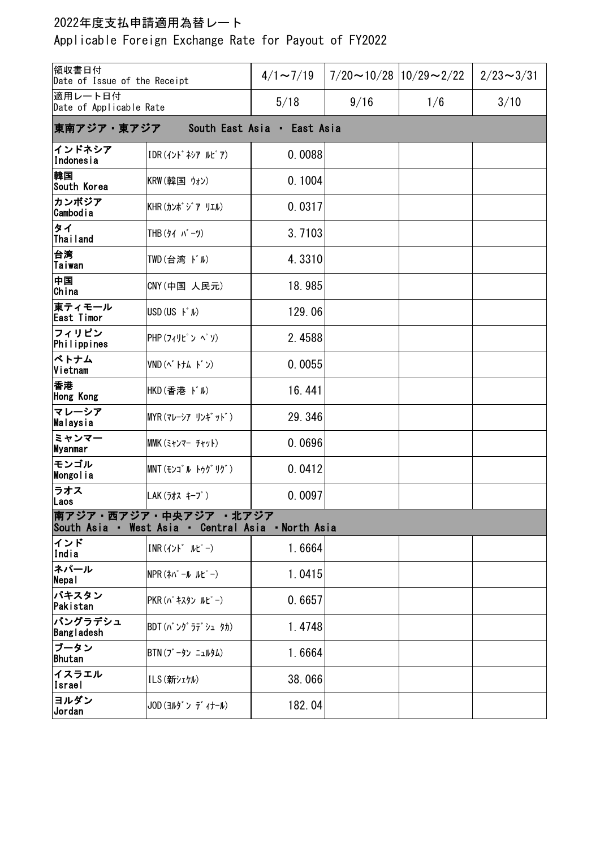## 2022年度支払申請適用為替レート

Applicable Foreign Exchange Rate for Payout of FY2022

| 領収書日付<br>Date of Issue of the Receipt                                      |                                                   | $4/1 \sim 7/19$ | $7/20 \sim 10/28$  10/29 $\sim$ 2/22 |     | $2/23 \sim 3/31$ |  |  |  |
|----------------------------------------------------------------------------|---------------------------------------------------|-----------------|--------------------------------------|-----|------------------|--|--|--|
| 適用レート日付<br>Date of Applicable Rate                                         |                                                   | 5/18            | 9/16                                 | 1/6 | 3/10             |  |  |  |
| 東南アジア・東アジア<br>South East Asia · East Asia                                  |                                                   |                 |                                      |     |                  |  |  |  |
| インドネシア<br>Indonesia                                                        | IDR (イント ネシアルピア)                                  | 0.0088          |                                      |     |                  |  |  |  |
| 韓国<br>South Korea                                                          | KRW(韓国 ウォン)                                       | 0.1004          |                                      |     |                  |  |  |  |
| カンボジア<br><b>Cambodia</b>                                                   | KHR(カンボジア リエル)                                    | 0.0317          |                                      |     |                  |  |  |  |
| タイ<br>Thailand                                                             | THB (タイ バーツ)                                      | 3.7103          |                                      |     |                  |  |  |  |
| 台湾<br>Taiwan                                                               | TWD(台湾 ドル)                                        | 4.3310          |                                      |     |                  |  |  |  |
| 中国<br>China                                                                | CNY (中国 人民元)                                      | 18.985          |                                      |     |                  |  |  |  |
| 東ティモール<br><b>East Timor</b>                                                | $USD(US F^*N)$                                    | 129.06          |                                      |     |                  |  |  |  |
| フィリピン<br>Philippines                                                       | PHP (フィリピンペリ)                                     | 2.4588          |                                      |     |                  |  |  |  |
| ベトナム<br>Vietnam                                                            | VND (ベトナム ドン)                                     | 0.0055          |                                      |     |                  |  |  |  |
| 香港<br>Hong Kong                                                            | HKD(香港 ドル)                                        | 16.441          |                                      |     |                  |  |  |  |
| マレーシア<br>Malaysia                                                          | MYR(マレーシア リンギ ット゛)                                | 29.346          |                                      |     |                  |  |  |  |
| ミャンマー<br><b>Myanmar</b>                                                    | MMK (ミャンマー チャット)                                  | 0.0696          |                                      |     |                  |  |  |  |
| モンゴル<br><b>Mongolia</b>                                                    | MNT (モンコ ルトゥグリグ)                                  | 0.0412          |                                      |     |                  |  |  |  |
| ラオス<br>Laos                                                                | LAK(ラオス キープ)                                      | 0.0097          |                                      |     |                  |  |  |  |
| 南アジア・西アジア・中央アジア 北アジア<br>South Asia · West Asia · Central Asia · North Asia |                                                   |                 |                                      |     |                  |  |  |  |
| インド<br>India                                                               | $INR(1YY^* \tIU^*-)$                              | 1.6664          |                                      |     |                  |  |  |  |
| ネパール<br>Nepal                                                              | $NPR(\lambda \wedge^{\circ} - \mu \mu^{\circ} -)$ | 1.0415          |                                      |     |                  |  |  |  |
| パキスタン<br>Pakistan                                                          | PKR (パキスタン ルピー)                                   | 0.6657          |                                      |     |                  |  |  |  |
| バングラデシュ<br>Bangladesh                                                      | BDT(バングラデシュ タカ)                                   | 1.4748          |                                      |     |                  |  |  |  |
| ブータン<br>Bhutan                                                             | BTN (ブータン ニュルタム)                                  | 1.6664          |                                      |     |                  |  |  |  |
| イスラエル<br>Israel                                                            | ILS (新シェケル)                                       | 38.066          |                                      |     |                  |  |  |  |
| ヨルダン<br>Jordan                                                             | JOD (ヨルダン ディナール)                                  | 182.04          |                                      |     |                  |  |  |  |